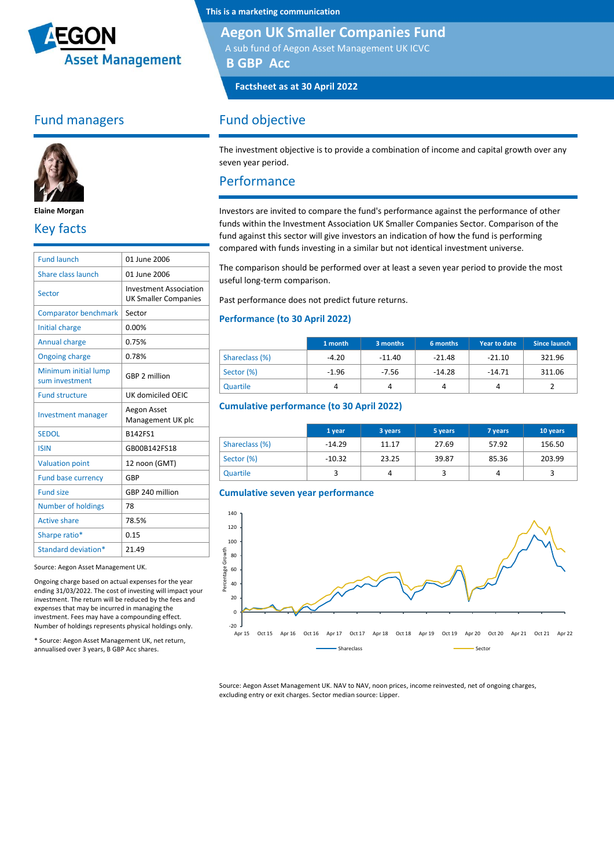

## Fund managers



**Elaine Morgan**

## Key facts

| 01 June 2006                                                 |
|--------------------------------------------------------------|
| 01 June 2006                                                 |
| <b>Investment Association</b><br><b>UK Smaller Companies</b> |
| Sector                                                       |
| 0.00%                                                        |
| 0.75%                                                        |
| 0.78%                                                        |
| GBP 2 million                                                |
| UK domiciled OEIC                                            |
|                                                              |
| Aegon Asset<br>Management UK plc                             |
| B142FS1                                                      |
| GB00B142FS18                                                 |
| 12 noon (GMT)                                                |
| GBP                                                          |
| GBP 240 million                                              |
| 78                                                           |
| 78.5%                                                        |
| 0.15                                                         |
|                                                              |

Source: Aegon Asset Management UK.

Ongoing charge based on actual expenses for the year ending 31/03/2022. The cost of investing will impact your investment. The return will be reduced by the fees and expenses that may be incurred in managing the investment. Fees may have a compounding effect. Number of holdings represents physical holdings only.

\* Source: Aegon Asset Management UK, net return, annualised over 3 years, B GBP Acc shares.

**This is a marketing communication**

#### **Aegon UK Smaller Companies Fund**

A sub fund of Aegon Asset Management UK ICVC **B GBP Acc**

**Factsheet as at 30 April 2022**

### Fund objective

The investment objective is to provide a combination of income and capital growth over any seven year period.

#### Performance

Investors are invited to compare the fund's performance against the performance of other funds within the Investment Association UK Smaller Companies Sector. Comparison of the fund against this sector will give investors an indication of how the fund is performing compared with funds investing in a similar but not identical investment universe.

The comparison should be performed over at least a seven year period to provide the most useful long-term comparison.

Past performance does not predict future returns.

#### **Performance (to 30 April 2022)**

|                | 1 month | 3 months | 6 months | Year to date | Since launch |
|----------------|---------|----------|----------|--------------|--------------|
| Shareclass (%) | $-4.20$ | $-11.40$ | $-21.48$ | $-21.10$     | 321.96       |
| Sector (%)     | $-1.96$ | $-7.56$  | $-14.28$ | $-14.71$     | 311.06       |
| Quartile       | 4       |          |          | 4            |              |

#### **Cumulative performance (to 30 April 2022)**

|                | 1 year   | 3 years | 5 years | 7 years | 10 years |
|----------------|----------|---------|---------|---------|----------|
| Shareclass (%) | $-14.29$ | 11.17   | 27.69   | 57.92   | 156.50   |
| Sector (%)     | $-10.32$ | 23.25   | 39.87   | 85.36   | 203.99   |
| Quartile       |          |         |         | 4       |          |





Source: Aegon Asset Management UK. NAV to NAV, noon prices, income reinvested, net of ongoing charges, excluding entry or exit charges. Sector median source: Lipper.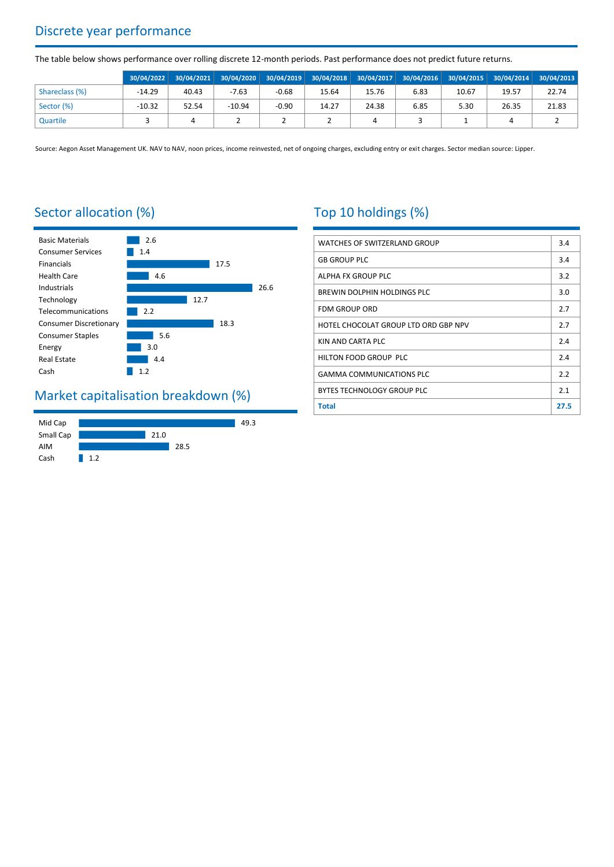# Discrete year performance

The table below shows performance over rolling discrete 12-month periods. Past performance does not predict future returns.

|                |          |       |          |         | 30/04/2022 30/04/2021 30/04/2020 30/04/2019 30/04/2018 30/04/2017 30/04/2016 30/04/2015 30/04/2014 30/04/2013 |       |      |       |       |       |
|----------------|----------|-------|----------|---------|---------------------------------------------------------------------------------------------------------------|-------|------|-------|-------|-------|
| Shareclass (%) | $-14.29$ | 40.43 | $-7.63$  | $-0.68$ | 15.64                                                                                                         | 15.76 | 6.83 | 10.67 | 19.57 | 22.74 |
| Sector (%)     | $-10.32$ | 52.54 | $-10.94$ | $-0.90$ | 14.27                                                                                                         | 24.38 | 6.85 | 5.30  | 26.35 | 21.83 |
| Quartile       |          |       |          |         |                                                                                                               |       |      |       |       |       |

Source: Aegon Asset Management UK. NAV to NAV, noon prices, income reinvested, net of ongoing charges, excluding entry or exit charges. Sector median source: Lipper.

## Sector allocation (%)



## Market capitalisation breakdown (%)



# Top 10 holdings (%)

| <b>WATCHES OF SWITZERLAND GROUP</b>  | 3.4  |
|--------------------------------------|------|
| <b>GB GROUP PLC</b>                  | 3.4  |
| ALPHA FX GROUP PLC                   | 3.2  |
| BREWIN DOLPHIN HOLDINGS PLC          | 3.0  |
| <b>FDM GROUP ORD</b>                 | 2.7  |
| HOTEL CHOCOLAT GROUP LTD ORD GBP NPV | 2.7  |
| KIN AND CARTA PLC                    | 2.4  |
| HILTON FOOD GROUP PLC                | 2.4  |
| <b>GAMMA COMMUNICATIONS PLC</b>      | 2.2  |
| BYTES TECHNOLOGY GROUP PLC           | 2.1  |
| <b>Total</b>                         | 27.5 |